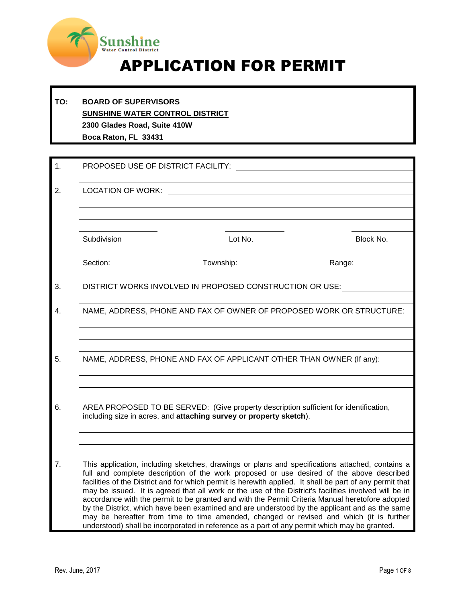

# APPLICATION FOR PERMIT

#### **TO: BOARD OF SUPERVISORS SUNSHINE WATER CONTROL DISTRICT 2300 Glades Road, Suite 410W Boca Raton, FL 33431**

| 1.                                                                                                                                                                | PROPOSED USE OF DISTRICT FACILITY:                       |                                                                                                                                                                                                                                                                                                                                                                                                                                                                                                                                                                                                                                                                                                                                                                                                                 |           |  |  |
|-------------------------------------------------------------------------------------------------------------------------------------------------------------------|----------------------------------------------------------|-----------------------------------------------------------------------------------------------------------------------------------------------------------------------------------------------------------------------------------------------------------------------------------------------------------------------------------------------------------------------------------------------------------------------------------------------------------------------------------------------------------------------------------------------------------------------------------------------------------------------------------------------------------------------------------------------------------------------------------------------------------------------------------------------------------------|-----------|--|--|
| 2.                                                                                                                                                                | <b>LOCATION OF WORK:</b>                                 |                                                                                                                                                                                                                                                                                                                                                                                                                                                                                                                                                                                                                                                                                                                                                                                                                 |           |  |  |
|                                                                                                                                                                   |                                                          |                                                                                                                                                                                                                                                                                                                                                                                                                                                                                                                                                                                                                                                                                                                                                                                                                 |           |  |  |
|                                                                                                                                                                   | Subdivision                                              | Lot No.                                                                                                                                                                                                                                                                                                                                                                                                                                                                                                                                                                                                                                                                                                                                                                                                         | Block No. |  |  |
|                                                                                                                                                                   | Section:                                                 | Township:                                                                                                                                                                                                                                                                                                                                                                                                                                                                                                                                                                                                                                                                                                                                                                                                       | Range:    |  |  |
| 3.                                                                                                                                                                | DISTRICT WORKS INVOLVED IN PROPOSED CONSTRUCTION OR USE: |                                                                                                                                                                                                                                                                                                                                                                                                                                                                                                                                                                                                                                                                                                                                                                                                                 |           |  |  |
| 4.                                                                                                                                                                |                                                          | NAME, ADDRESS, PHONE AND FAX OF OWNER OF PROPOSED WORK OR STRUCTURE:                                                                                                                                                                                                                                                                                                                                                                                                                                                                                                                                                                                                                                                                                                                                            |           |  |  |
|                                                                                                                                                                   |                                                          |                                                                                                                                                                                                                                                                                                                                                                                                                                                                                                                                                                                                                                                                                                                                                                                                                 |           |  |  |
| 5.                                                                                                                                                                |                                                          | NAME, ADDRESS, PHONE AND FAX OF APPLICANT OTHER THAN OWNER (If any):                                                                                                                                                                                                                                                                                                                                                                                                                                                                                                                                                                                                                                                                                                                                            |           |  |  |
|                                                                                                                                                                   |                                                          |                                                                                                                                                                                                                                                                                                                                                                                                                                                                                                                                                                                                                                                                                                                                                                                                                 |           |  |  |
| 6.<br>AREA PROPOSED TO BE SERVED: (Give property description sufficient for identification,<br>including size in acres, and attaching survey or property sketch). |                                                          |                                                                                                                                                                                                                                                                                                                                                                                                                                                                                                                                                                                                                                                                                                                                                                                                                 |           |  |  |
|                                                                                                                                                                   |                                                          |                                                                                                                                                                                                                                                                                                                                                                                                                                                                                                                                                                                                                                                                                                                                                                                                                 |           |  |  |
| 7.                                                                                                                                                                |                                                          | This application, including sketches, drawings or plans and specifications attached, contains a<br>full and complete description of the work proposed or use desired of the above described<br>facilities of the District and for which permit is herewith applied. It shall be part of any permit that<br>may be issued. It is agreed that all work or the use of the District's facilities involved will be in<br>accordance with the permit to be granted and with the Permit Criteria Manual heretofore adopted<br>by the District, which have been examined and are understood by the applicant and as the same<br>may be hereafter from time to time amended, changed or revised and which (it is further<br>understood) shall be incorporated in reference as a part of any permit which may be granted. |           |  |  |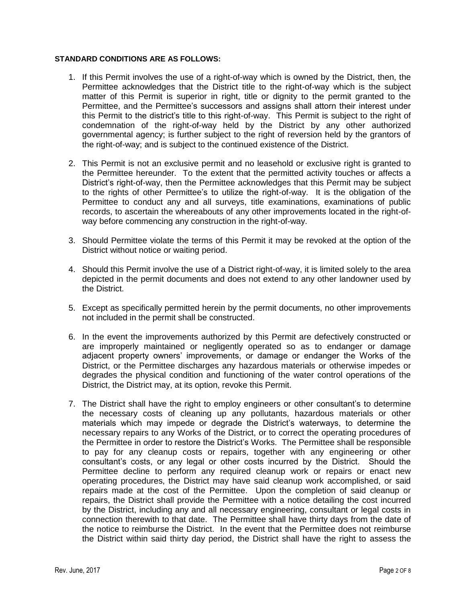#### **STANDARD CONDITIONS ARE AS FOLLOWS:**

- 1. If this Permit involves the use of a right-of-way which is owned by the District, then, the Permittee acknowledges that the District title to the right-of-way which is the subject matter of this Permit is superior in right, title or dignity to the permit granted to the Permittee, and the Permittee's successors and assigns shall attorn their interest under this Permit to the district's title to this right-of-way. This Permit is subject to the right of condemnation of the right-of-way held by the District by any other authorized governmental agency; is further subject to the right of reversion held by the grantors of the right-of-way; and is subject to the continued existence of the District.
- 2. This Permit is not an exclusive permit and no leasehold or exclusive right is granted to the Permittee hereunder. To the extent that the permitted activity touches or affects a District's right-of-way, then the Permittee acknowledges that this Permit may be subject to the rights of other Permittee's to utilize the right-of-way. It is the obligation of the Permittee to conduct any and all surveys, title examinations, examinations of public records, to ascertain the whereabouts of any other improvements located in the right-ofway before commencing any construction in the right-of-way.
- 3. Should Permittee violate the terms of this Permit it may be revoked at the option of the District without notice or waiting period.
- 4. Should this Permit involve the use of a District right-of-way, it is limited solely to the area depicted in the permit documents and does not extend to any other landowner used by the District.
- 5. Except as specifically permitted herein by the permit documents, no other improvements not included in the permit shall be constructed.
- 6. In the event the improvements authorized by this Permit are defectively constructed or are improperly maintained or negligently operated so as to endanger or damage adjacent property owners' improvements, or damage or endanger the Works of the District, or the Permittee discharges any hazardous materials or otherwise impedes or degrades the physical condition and functioning of the water control operations of the District, the District may, at its option, revoke this Permit.
- 7. The District shall have the right to employ engineers or other consultant's to determine the necessary costs of cleaning up any pollutants, hazardous materials or other materials which may impede or degrade the District's waterways, to determine the necessary repairs to any Works of the District, or to correct the operating procedures of the Permittee in order to restore the District's Works. The Permittee shall be responsible to pay for any cleanup costs or repairs, together with any engineering or other consultant's costs, or any legal or other costs incurred by the District. Should the Permittee decline to perform any required cleanup work or repairs or enact new operating procedures, the District may have said cleanup work accomplished, or said repairs made at the cost of the Permittee. Upon the completion of said cleanup or repairs, the District shall provide the Permittee with a notice detailing the cost incurred by the District, including any and all necessary engineering, consultant or legal costs in connection therewith to that date. The Permittee shall have thirty days from the date of the notice to reimburse the District. In the event that the Permittee does not reimburse the District within said thirty day period, the District shall have the right to assess the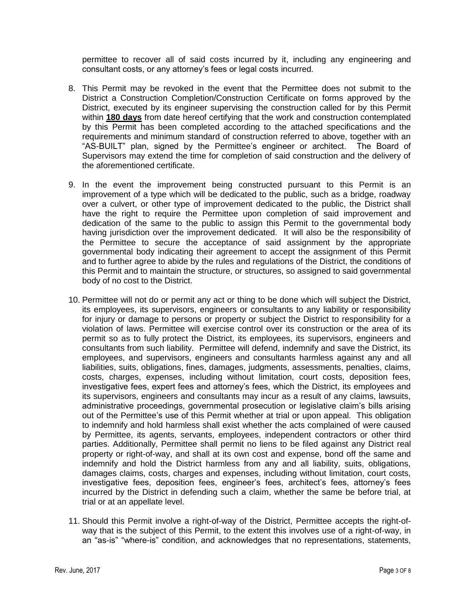permittee to recover all of said costs incurred by it, including any engineering and consultant costs, or any attorney's fees or legal costs incurred.

- 8. This Permit may be revoked in the event that the Permittee does not submit to the District a Construction Completion/Construction Certificate on forms approved by the District, executed by its engineer supervising the construction called for by this Permit within **180 days** from date hereof certifying that the work and construction contemplated by this Permit has been completed according to the attached specifications and the requirements and minimum standard of construction referred to above, together with an "AS-BUILT" plan, signed by the Permittee's engineer or architect. The Board of Supervisors may extend the time for completion of said construction and the delivery of the aforementioned certificate.
- 9. In the event the improvement being constructed pursuant to this Permit is an improvement of a type which will be dedicated to the public, such as a bridge, roadway over a culvert, or other type of improvement dedicated to the public, the District shall have the right to require the Permittee upon completion of said improvement and dedication of the same to the public to assign this Permit to the governmental body having jurisdiction over the improvement dedicated. It will also be the responsibility of the Permittee to secure the acceptance of said assignment by the appropriate governmental body indicating their agreement to accept the assignment of this Permit and to further agree to abide by the rules and regulations of the District, the conditions of this Permit and to maintain the structure, or structures, so assigned to said governmental body of no cost to the District.
- 10. Permittee will not do or permit any act or thing to be done which will subject the District, its employees, its supervisors, engineers or consultants to any liability or responsibility for injury or damage to persons or property or subject the District to responsibility for a violation of laws. Permittee will exercise control over its construction or the area of its permit so as to fully protect the District, its employees, its supervisors, engineers and consultants from such liability. Permittee will defend, indemnify and save the District, its employees, and supervisors, engineers and consultants harmless against any and all liabilities, suits, obligations, fines, damages, judgments, assessments, penalties, claims, costs, charges, expenses, including without limitation, court costs, deposition fees, investigative fees, expert fees and attorney's fees, which the District, its employees and its supervisors, engineers and consultants may incur as a result of any claims, lawsuits, administrative proceedings, governmental prosecution or legislative claim's bills arising out of the Permittee's use of this Permit whether at trial or upon appeal. This obligation to indemnify and hold harmless shall exist whether the acts complained of were caused by Permittee, its agents, servants, employees, independent contractors or other third parties. Additionally, Permittee shall permit no liens to be filed against any District real property or right-of-way, and shall at its own cost and expense, bond off the same and indemnify and hold the District harmless from any and all liability, suits, obligations, damages claims, costs, charges and expenses, including without limitation, court costs, investigative fees, deposition fees, engineer's fees, architect's fees, attorney's fees incurred by the District in defending such a claim, whether the same be before trial, at trial or at an appellate level.
- 11. Should this Permit involve a right-of-way of the District, Permittee accepts the right-ofway that is the subject of this Permit, to the extent this involves use of a right-of-way, in an "as-is" "where-is" condition, and acknowledges that no representations, statements,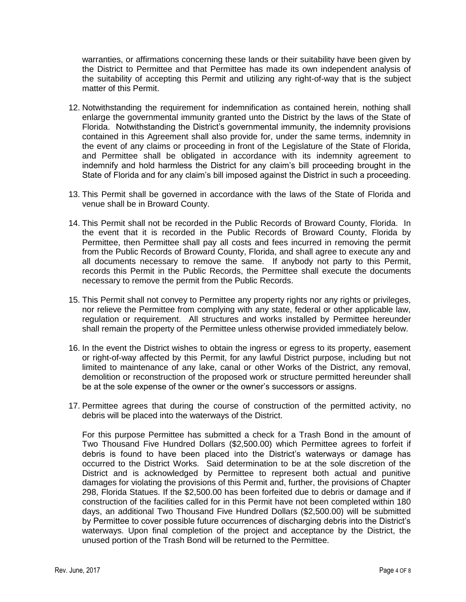warranties, or affirmations concerning these lands or their suitability have been given by the District to Permittee and that Permittee has made its own independent analysis of the suitability of accepting this Permit and utilizing any right-of-way that is the subject matter of this Permit.

- 12. Notwithstanding the requirement for indemnification as contained herein, nothing shall enlarge the governmental immunity granted unto the District by the laws of the State of Florida. Notwithstanding the District's governmental immunity, the indemnity provisions contained in this Agreement shall also provide for, under the same terms, indemnity in the event of any claims or proceeding in front of the Legislature of the State of Florida, and Permittee shall be obligated in accordance with its indemnity agreement to indemnify and hold harmless the District for any claim's bill proceeding brought in the State of Florida and for any claim's bill imposed against the District in such a proceeding.
- 13. This Permit shall be governed in accordance with the laws of the State of Florida and venue shall be in Broward County.
- 14. This Permit shall not be recorded in the Public Records of Broward County, Florida. In the event that it is recorded in the Public Records of Broward County, Florida by Permittee, then Permittee shall pay all costs and fees incurred in removing the permit from the Public Records of Broward County, Florida, and shall agree to execute any and all documents necessary to remove the same. If anybody not party to this Permit, records this Permit in the Public Records, the Permittee shall execute the documents necessary to remove the permit from the Public Records.
- 15. This Permit shall not convey to Permittee any property rights nor any rights or privileges, nor relieve the Permittee from complying with any state, federal or other applicable law, regulation or requirement. All structures and works installed by Permittee hereunder shall remain the property of the Permittee unless otherwise provided immediately below.
- 16. In the event the District wishes to obtain the ingress or egress to its property, easement or right-of-way affected by this Permit, for any lawful District purpose, including but not limited to maintenance of any lake, canal or other Works of the District, any removal, demolition or reconstruction of the proposed work or structure permitted hereunder shall be at the sole expense of the owner or the owner's successors or assigns.
- 17. Permittee agrees that during the course of construction of the permitted activity, no debris will be placed into the waterways of the District.

For this purpose Permittee has submitted a check for a Trash Bond in the amount of Two Thousand Five Hundred Dollars (\$2,500.00) which Permittee agrees to forfeit if debris is found to have been placed into the District's waterways or damage has occurred to the District Works. Said determination to be at the sole discretion of the District and is acknowledged by Permittee to represent both actual and punitive damages for violating the provisions of this Permit and, further, the provisions of Chapter 298, Florida Statues. If the \$2,500.00 has been forfeited due to debris or damage and if construction of the facilities called for in this Permit have not been completed within 180 days, an additional Two Thousand Five Hundred Dollars (\$2,500.00) will be submitted by Permittee to cover possible future occurrences of discharging debris into the District's waterways. Upon final completion of the project and acceptance by the District, the unused portion of the Trash Bond will be returned to the Permittee.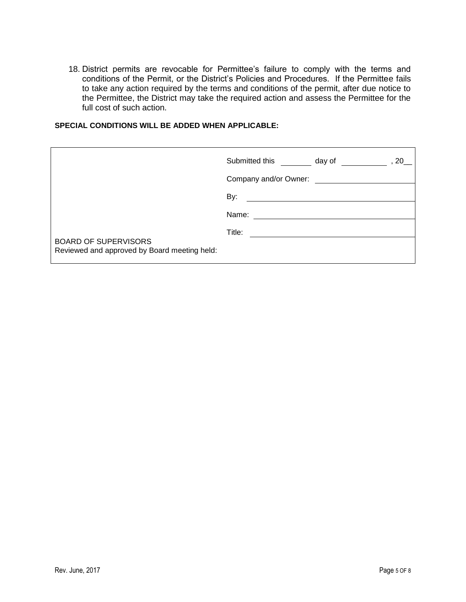18. District permits are revocable for Permittee's failure to comply with the terms and conditions of the Permit, or the District's Policies and Procedures. If the Permittee fails to take any action required by the terms and conditions of the permit, after due notice to the Permittee, the District may take the required action and assess the Permittee for the full cost of such action.

#### **SPECIAL CONDITIONS WILL BE ADDED WHEN APPLICABLE:**

|                                                                             | Submitted this<br>day of<br>20 |  |
|-----------------------------------------------------------------------------|--------------------------------|--|
|                                                                             | Company and/or Owner:          |  |
|                                                                             | By:                            |  |
|                                                                             | Name:                          |  |
|                                                                             | Title:                         |  |
| <b>BOARD OF SUPERVISORS</b><br>Reviewed and approved by Board meeting held: |                                |  |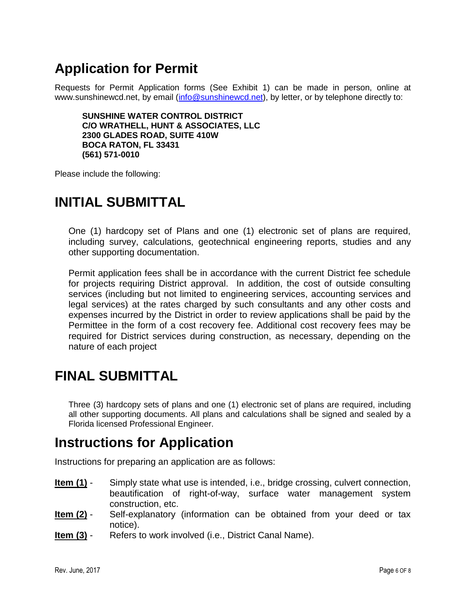## **Application for Permit**

Requests for Permit Application forms (See Exhibit 1) can be made in person, online at www.sunshinewcd.net, by email [\(info@sunshinewcd.net\)](mailto:info@sunshinewcd.net), by letter, or by telephone directly to:

**SUNSHINE WATER CONTROL DISTRICT C/O WRATHELL, HUNT & ASSOCIATES, LLC 2300 GLADES ROAD, SUITE 410W BOCA RATON, FL 33431 (561) 571-0010**

Please include the following:

## **INITIAL SUBMITTAL**

One (1) hardcopy set of Plans and one (1) electronic set of plans are required, including survey, calculations, geotechnical engineering reports, studies and any other supporting documentation.

Permit application fees shall be in accordance with the current District fee schedule for projects requiring District approval. In addition, the cost of outside consulting services (including but not limited to engineering services, accounting services and legal services) at the rates charged by such consultants and any other costs and expenses incurred by the District in order to review applications shall be paid by the Permittee in the form of a cost recovery fee. Additional cost recovery fees may be required for District services during construction, as necessary, depending on the nature of each project

## **FINAL SUBMITTAL**

Three (3) hardcopy sets of plans and one (1) electronic set of plans are required, including all other supporting documents. All plans and calculations shall be signed and sealed by a Florida licensed Professional Engineer.

#### **Instructions for Application**

Instructions for preparing an application are as follows:

- **Item (1)** Simply state what use is intended, i.e., bridge crossing, culvert connection, beautification of right-of-way, surface water management system construction, etc.
- **Item (2)** Self-explanatory (information can be obtained from your deed or tax notice).
- **Item (3)** Refers to work involved (i.e., District Canal Name).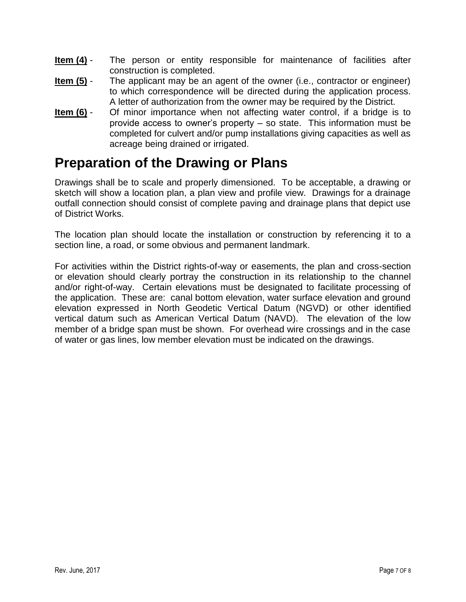- **Item (4)** The person or entity responsible for maintenance of facilities after construction is completed.
- **Item (5)** The applicant may be an agent of the owner (i.e., contractor or engineer) to which correspondence will be directed during the application process. A letter of authorization from the owner may be required by the District.
- **Item (6)** Of minor importance when not affecting water control, if a bridge is to provide access to owner's property – so state. This information must be completed for culvert and/or pump installations giving capacities as well as acreage being drained or irrigated.

## **Preparation of the Drawing or Plans**

Drawings shall be to scale and properly dimensioned. To be acceptable, a drawing or sketch will show a location plan, a plan view and profile view. Drawings for a drainage outfall connection should consist of complete paving and drainage plans that depict use of District Works.

The location plan should locate the installation or construction by referencing it to a section line, a road, or some obvious and permanent landmark.

For activities within the District rights-of-way or easements, the plan and cross-section or elevation should clearly portray the construction in its relationship to the channel and/or right-of-way. Certain elevations must be designated to facilitate processing of the application. These are: canal bottom elevation, water surface elevation and ground elevation expressed in North Geodetic Vertical Datum (NGVD) or other identified vertical datum such as American Vertical Datum (NAVD). The elevation of the low member of a bridge span must be shown. For overhead wire crossings and in the case of water or gas lines, low member elevation must be indicated on the drawings.